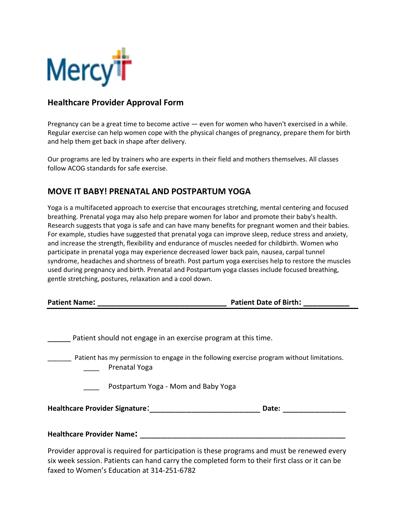

## **Healthcare Provider Approval Form**

Pregnancy can be a great time to become active — even for women who haven't exercised in a while. Regular exercise can help women cope with the physical changes of pregnancy, prepare them for birth and help them get back in shape after delivery.

Our programs are led by trainers who are experts in their field and mothers themselves. All classes follow ACOG standards for safe exercise.

## **MOVE IT BABY! PRENATAL AND POSTPARTUM YOGA**

Yoga is a multifaceted approach to exercise that encourages stretching, mental centering and focused breathing. Prenatal yoga may also help prepare women for labor and promote their baby's health. Research suggests that yoga is safe and can have many benefits for pregnant women and their babies. For example, studies have suggested that prenatal yoga can improve sleep, reduce stress and anxiety, and increase the strength, flexibility and endurance of muscles needed for childbirth. Women who participate in prenatal yoga may experience decreased lower back pain, nausea, carpal tunnel syndrome, headaches and shortness of breath. Post partum yoga exercises help to restore the muscles used during pregnancy and birth. Prenatal and Postpartum yoga classes include focused breathing, gentle stretching, postures, relaxation and a cool down.

**Patient Name: \_\_\_\_\_\_\_\_\_\_\_\_\_\_\_\_\_\_\_\_\_\_\_\_\_\_\_\_ Patient Date of Birth: \_\_\_\_\_\_\_\_\_\_**

| Patient should not engage in an exercise program at this time.                                              |  |  |  |
|-------------------------------------------------------------------------------------------------------------|--|--|--|
| Patient has my permission to engage in the following exercise program without limitations.<br>Prenatal Yoga |  |  |  |
| Postpartum Yoga - Mom and Baby Yoga                                                                         |  |  |  |
| <b>Healthcare Provider Signature:</b><br>Date:                                                              |  |  |  |
| <b>Healthcare Provider Name:</b>                                                                            |  |  |  |
| Provider approval is required for participation is these programs and must be renewed every                 |  |  |  |

six week session. Patients can hand carry the completed form to their first class or it can be faxed to Women's Education at 314-251-6782